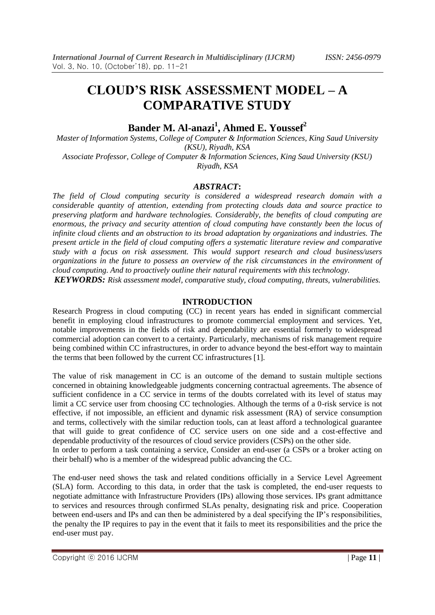# **CLOUD'S RISK ASSESSMENT MODEL – A COMPARATIVE STUDY**

# **Bander M. Al-anazi<sup>1</sup> , Ahmed E. Youssef<sup>2</sup>**

*Master of Information Systems, College of Computer & Information Sciences, King Saud University (KSU), Riyadh, KSA Associate Professor, College of Computer & Information Sciences, King Saud University (KSU)*

*Riyadh, KSA*

#### *ABSTRACT***:**

*The field of Cloud computing security is considered a widespread research domain with a considerable quantity of attention, extending from protecting clouds data and source practice to preserving platform and hardware technologies. Considerably, the benefits of cloud computing are enormous, the privacy and security attention of cloud computing have constantly been the locus of infinite cloud clients and an obstruction to its broad adaptation by organizations and industries. The present article in the field of cloud computing offers a systematic literature review and comparative study with a focus on risk assessment. This would support research and cloud business/users organizations in the future to possess an overview of the risk circumstances in the environment of cloud computing. And to proactively outline their natural requirements with this technology.*

*KEYWORDS: Risk assessment model, comparative study, cloud computing, threats, vulnerabilities.*

#### **INTRODUCTION**

Research Progress in cloud computing (CC) in recent years has ended in significant commercial benefit in employing cloud infrastructures to promote commercial employment and services. Yet, notable improvements in the fields of risk and dependability are essential formerly to widespread commercial adoption can convert to a certainty. Particularly, mechanisms of risk management require being combined within CC infrastructures, in order to advance beyond the best-effort way to maintain the terms that been followed by the current CC infrastructures [1].

The value of risk management in CC is an outcome of the demand to sustain multiple sections concerned in obtaining knowledgeable judgments concerning contractual agreements. The absence of sufficient confidence in a CC service in terms of the doubts correlated with its level of status may limit a CC service user from choosing CC technologies. Although the terms of a 0-risk service is not effective, if not impossible, an efficient and dynamic risk assessment (RA) of service consumption and terms, collectively with the similar reduction tools, can at least afford a technological guarantee that will guide to great confidence of CC service users on one side and a cost-effective and dependable productivity of the resources of cloud service providers (CSPs) on the other side. In order to perform a task containing a service, Consider an end-user (a CSPs or a broker acting on

their behalf) who is a member of the widespread public advancing the CC.

The end-user need shows the task and related conditions officially in a Service Level Agreement (SLA) form. According to this data, in order that the task is completed, the end-user requests to negotiate admittance with Infrastructure Providers (IPs) allowing those services. IPs grant admittance to services and resources through confirmed SLAs penalty, designating risk and price. Cooperation between end-users and IPs and can then be administered by a deal specifying the IP's responsibilities, the penalty the IP requires to pay in the event that it fails to meet its responsibilities and the price the end-user must pay.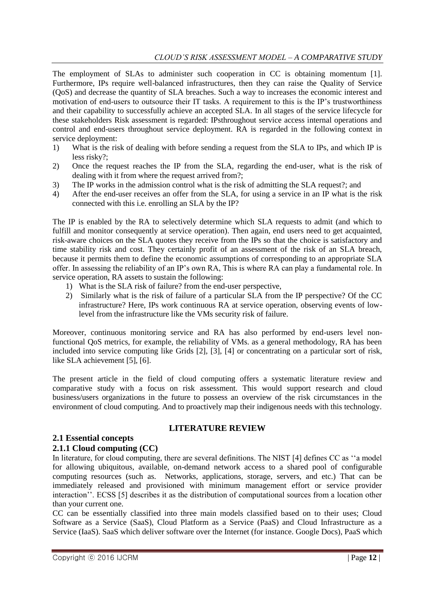The employment of SLAs to administer such cooperation in CC is obtaining momentum [1]. Furthermore, IPs require well-balanced infrastructures, then they can raise the Quality of Service (QoS) and decrease the quantity of SLA breaches. Such a way to increases the economic interest and motivation of end-users to outsource their IT tasks. A requirement to this is the IP's trustworthiness and their capability to successfully achieve an accepted SLA. In all stages of the service lifecycle for these stakeholders Risk assessment is regarded: IPsthroughout service access internal operations and control and end-users throughout service deployment. RA is regarded in the following context in service deployment:

- 1) What is the risk of dealing with before sending a request from the SLA to IPs, and which IP is less risky?;
- 2) Once the request reaches the IP from the SLA, regarding the end-user, what is the risk of dealing with it from where the request arrived from?;
- 3) The IP works in the admission control what is the risk of admitting the SLA request?; and
- 4) After the end-user receives an offer from the SLA, for using a service in an IP what is the risk connected with this i.e. enrolling an SLA by the IP?

The IP is enabled by the RA to selectively determine which SLA requests to admit (and which to fulfill and monitor consequently at service operation). Then again, end users need to get acquainted, risk-aware choices on the SLA quotes they receive from the IPs so that the choice is satisfactory and time stability risk and cost. They certainly profit of an assessment of the risk of an SLA breach, because it permits them to define the economic assumptions of corresponding to an appropriate SLA offer. In assessing the reliability of an IP's own RA, This is where RA can play a fundamental role. In service operation, RA assets to sustain the following:

- 1) What is the SLA risk of failure? from the end-user perspective,
- 2) Similarly what is the risk of failure of a particular SLA from the IP perspective? Of the CC infrastructure? Here, IPs work continuous RA at service operation, observing events of lowlevel from the infrastructure like the VMs security risk of failure.

Moreover, continuous monitoring service and RA has also performed by end-users level nonfunctional QoS metrics, for example, the reliability of VMs. as a general methodology, RA has been included into service computing like Grids [2], [3], [4] or concentrating on a particular sort of risk, like SLA achievement [5], [6].

The present article in the field of cloud computing offers a systematic literature review and comparative study with a focus on risk assessment. This would support research and cloud business/users organizations in the future to possess an overview of the risk circumstances in the environment of cloud computing. And to proactively map their indigenous needs with this technology.

**LITERATURE REVIEW**

# **2.1 Essential concepts**

#### **2.1.1 Cloud computing (CC)**

In literature, for cloud computing, there are several definitions. The NIST [4] defines CC as "a model for allowing ubiquitous, available, on-demand network access to a shared pool of configurable computing resources (such as. Networks, applications, storage, servers, and etc.) That can be immediately released and provisioned with minimum management effort or service provider interaction''. ECSS [5] describes it as the distribution of computational sources from a location other than your current one.

CC can be essentially classified into three main models classified based on to their uses; Cloud Software as a Service (SaaS), Cloud Platform as a Service (PaaS) and Cloud Infrastructure as a Service (IaaS). SaaS which deliver software over the Internet (for instance. Google Docs), PaaS which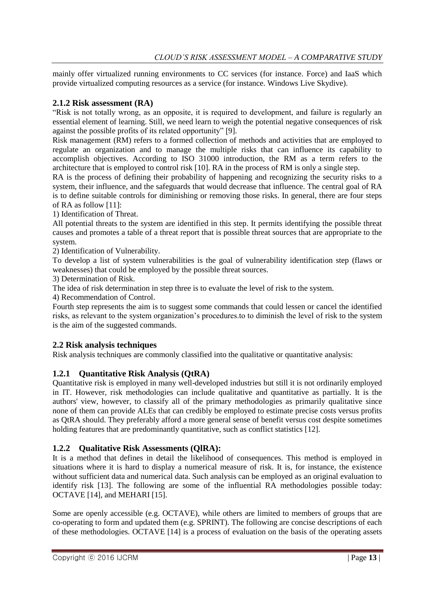mainly offer virtualized running environments to CC services (for instance. Force) and IaaS which provide virtualized computing resources as a service (for instance. Windows Live Skydive).

# **2.1.2 Risk assessment (RA)**

―Risk is not totally wrong, as an opposite, it is required to development, and failure is regularly an essential element of learning. Still, we need learn to weigh the potential negative consequences of risk against the possible profits of its related opportunity" [9].

Risk management (RM) refers to a formed collection of methods and activities that are employed to regulate an organization and to manage the multiple risks that can influence its capability to accomplish objectives. According to ISO 31000 introduction, the RM as a term refers to the architecture that is employed to control risk [10]. RA in the process of RM is only a single step.

RA is the process of defining their probability of happening and recognizing the security risks to a system, their influence, and the safeguards that would decrease that influence. The central goal of RA is to define suitable controls for diminishing or removing those risks. In general, there are four steps of RA as follow [11]:

1) Identification of Threat.

All potential threats to the system are identified in this step. It permits identifying the possible threat causes and promotes a table of a threat report that is possible threat sources that are appropriate to the system.

2) Identification of Vulnerability.

To develop a list of system vulnerabilities is the goal of vulnerability identification step (flaws or weaknesses) that could be employed by the possible threat sources.

3) Determination of Risk.

The idea of risk determination in step three is to evaluate the level of risk to the system.

4) Recommendation of Control.

Fourth step represents the aim is to suggest some commands that could lessen or cancel the identified risks, as relevant to the system organization's procedures.to to diminish the level of risk to the system is the aim of the suggested commands.

# **2.2 Risk analysis techniques**

Risk analysis techniques are commonly classified into the qualitative or quantitative analysis:

# **1.2.1 Quantitative Risk Analysis (QtRA)**

Quantitative risk is employed in many well-developed industries but still it is not ordinarily employed in IT. However, risk methodologies can include qualitative and quantitative as partially. It is the authors' view, however, to classify all of the primary methodologies as primarily qualitative since none of them can provide ALEs that can credibly be employed to estimate precise costs versus profits as QtRA should. They preferably afford a more general sense of benefit versus cost despite sometimes holding features that are predominantly quantitative, such as conflict statistics [12].

# **1.2.2 Qualitative Risk Assessments (QlRA):**

It is a method that defines in detail the likelihood of consequences. This method is employed in situations where it is hard to display a numerical measure of risk. It is, for instance, the existence without sufficient data and numerical data. Such analysis can be employed as an original evaluation to identify risk [13]. The following are some of the influential RA methodologies possible today: OCTAVE [14], and MEHARI [15].

Some are openly accessible (e.g. OCTAVE), while others are limited to members of groups that are co-operating to form and updated them (e.g. SPRINT). The following are concise descriptions of each of these methodologies. OCTAVE [14] is a process of evaluation on the basis of the operating assets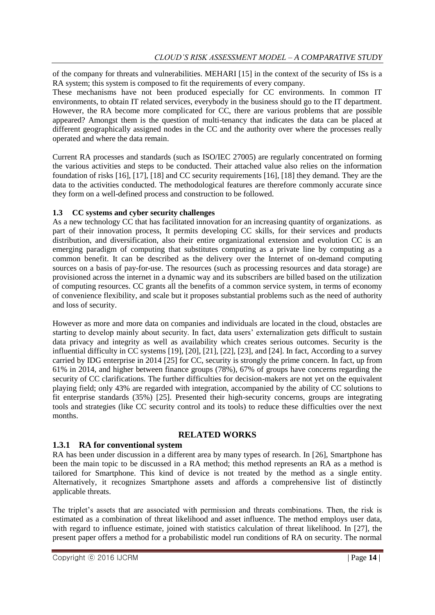of the company for threats and vulnerabilities. MEHARI [15] in the context of the security of ISs is a RA system; this system is composed to fit the requirements of every company.

These mechanisms have not been produced especially for CC environments. In common IT environments, to obtain IT related services, everybody in the business should go to the IT department. However, the RA become more complicated for CC, there are various problems that are possible appeared? Amongst them is the question of multi-tenancy that indicates the data can be placed at different geographically assigned nodes in the CC and the authority over where the processes really operated and where the data remain.

Current RA processes and standards (such as ISO/IEC 27005) are regularly concentrated on forming the various activities and steps to be conducted. Their attached value also relies on the information foundation of risks [16], [17], [18] and CC security requirements [16], [18] they demand. They are the data to the activities conducted. The methodological features are therefore commonly accurate since they form on a well-defined process and construction to be followed.

# **1.3 CC systems and cyber security challenges**

As a new technology CC that has facilitated innovation for an increasing quantity of organizations. as part of their innovation process, It permits developing CC skills, for their services and products distribution, and diversification, also their entire organizational extension and evolution CC is an emerging paradigm of computing that substitutes computing as a private line by computing as a common benefit. It can be described as the delivery over the Internet of on-demand computing sources on a basis of pay-for-use. The resources (such as processing resources and data storage) are provisioned across the internet in a dynamic way and its subscribers are billed based on the utilization of computing resources. CC grants all the benefits of a common service system, in terms of economy of convenience flexibility, and scale but it proposes substantial problems such as the need of authority and loss of security.

However as more and more data on companies and individuals are located in the cloud, obstacles are starting to develop mainly about security. In fact, data users' externalization gets difficult to sustain data privacy and integrity as well as availability which creates serious outcomes. Security is the influential difficulty in CC systems [19], [20], [21], [22], [23], and [24]. In fact, According to a survey carried by IDG enterprise in 2014 [25] for CC, security is strongly the prime concern. In fact, up from 61% in 2014, and higher between finance groups (78%), 67% of groups have concerns regarding the security of CC clarifications. The further difficulties for decision-makers are not yet on the equivalent playing field; only 43% are regarded with integration, accompanied by the ability of CC solutions to fit enterprise standards (35%) [25]. Presented their high-security concerns, groups are integrating tools and strategies (like CC security control and its tools) to reduce these difficulties over the next months.

#### **RELATED WORKS**

# **1.3.1 RA for conventional system**

RA has been under discussion in a different area by many types of research. In [26], Smartphone has been the main topic to be discussed in a RA method; this method represents an RA as a method is tailored for Smartphone. This kind of device is not treated by the method as a single entity. Alternatively, it recognizes Smartphone assets and affords a comprehensive list of distinctly applicable threats.

The triplet's assets that are associated with permission and threats combinations. Then, the risk is estimated as a combination of threat likelihood and asset influence. The method employs user data, with regard to influence estimate, joined with statistics calculation of threat likelihood. In [27], the present paper offers a method for a probabilistic model run conditions of RA on security. The normal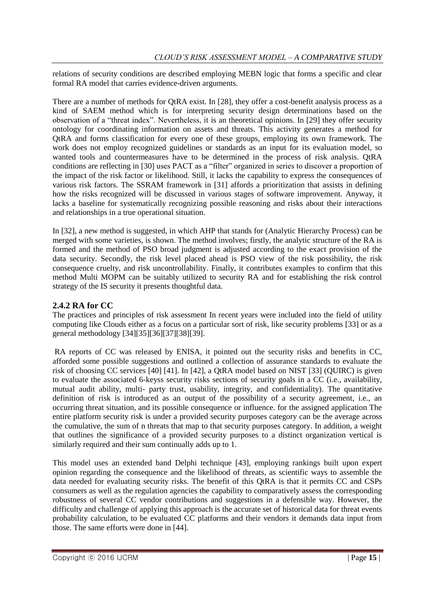relations of security conditions are described employing MEBN logic that forms a specific and clear formal RA model that carries evidence-driven arguments.

There are a number of methods for QtRA exist. In [28], they offer a cost-benefit analysis process as a kind of SAEM method which is for interpreting security design determinations based on the observation of a "threat index". Nevertheless, it is an theoretical opinions. In [29] they offer security ontology for coordinating information on assets and threats. This activity generates a method for QtRA and forms classification for every one of these groups, employing its own framework. The work does not employ recognized guidelines or standards as an input for its evaluation model, so wanted tools and countermeasures have to be determined in the process of risk analysis. QtRA conditions are reflecting in [30] uses PACT as a "filter" organized in series to discover a proportion of the impact of the risk factor or likelihood. Still, it lacks the capability to express the consequences of various risk factors. The SSRAM framework in [31] affords a prioritization that assists in defining how the risks recognized will be discussed in various stages of software improvement. Anyway, it lacks a baseline for systematically recognizing possible reasoning and risks about their interactions and relationships in a true operational situation.

In [32], a new method is suggested, in which AHP that stands for (Analytic Hierarchy Process) can be merged with some varieties, is shown. The method involves; firstly, the analytic structure of the RA is formed and the method of PSO broad judgment is adjusted according to the exact provision of the data security. Secondly, the risk level placed ahead is PSO view of the risk possibility, the risk consequence cruelty, and risk uncontrollability. Finally, it contributes examples to confirm that this method Multi MOPM can be suitably utilized to security RA and for establishing the risk control strategy of the IS security it presents thoughtful data.

# **2.4.2 RA for CC**

The practices and principles of risk assessment In recent years were included into the field of utility computing like Clouds either as a focus on a particular sort of risk, like security problems [33] or as a general methodology [34][35][36][37][38][39].

RA reports of CC was released by ENISA, it pointed out the security risks and benefits in CC, afforded some possible suggestions and outlined a collection of assurance standards to evaluate the risk of choosing CC services [40] [41]. In [42], a QtRA model based on NIST [33] (QUIRC) is given to evaluate the associated 6-keyss security risks sections of security goals in a CC (i.e., availability, mutual audit ability, multi- party trust, usability, integrity, and confidentiality). The quantitative definition of risk is introduced as an output of the possibility of a security agreement, i.e., an occurring threat situation, and its possible consequence or influence. for the assigned application The entire platform security risk is under a provided security purposes category can be the average across the cumulative, the sum of n threats that map to that security purposes category. In addition, a weight that outlines the significance of a provided security purposes to a distinct organization vertical is similarly required and their sum continually adds up to 1.

This model uses an extended band Delphi technique [43], employing rankings built upon expert opinion regarding the consequence and the likelihood of threats, as scientific ways to assemble the data needed for evaluating security risks. The benefit of this QtRA is that it permits CC and CSPs consumers as well as the regulation agencies the capability to comparatively assess the corresponding robustness of several CC vendor contributions and suggestions in a defensible way. However, the difficulty and challenge of applying this approach is the accurate set of historical data for threat events probability calculation, to be evaluated CC platforms and their vendors it demands data input from those. The same efforts were done in [44].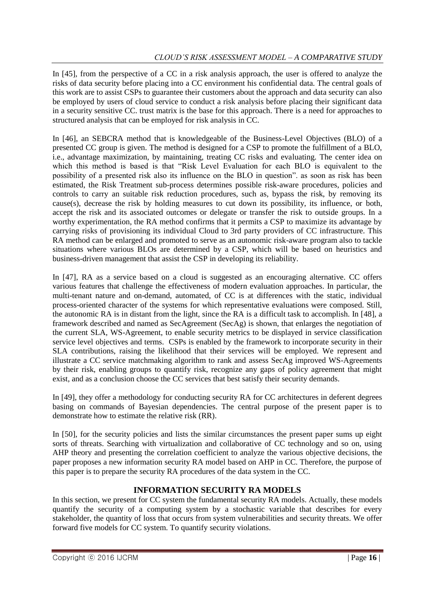In [45], from the perspective of a CC in a risk analysis approach, the user is offered to analyze the risks of data security before placing into a CC environment his confidential data. The central goals of this work are to assist CSPs to guarantee their customers about the approach and data security can also be employed by users of cloud service to conduct a risk analysis before placing their significant data in a security sensitive CC. trust matrix is the base for this approach. There is a need for approaches to structured analysis that can be employed for risk analysis in CC.

In [46], an SEBCRA method that is knowledgeable of the Business-Level Objectives (BLO) of a presented CC group is given. The method is designed for a CSP to promote the fulfillment of a BLO, i.e., advantage maximization, by maintaining, treating CC risks and evaluating. The center idea on which this method is based is that "Risk Level Evaluation for each BLO is equivalent to the possibility of a presented risk also its influence on the BLO in question", as soon as risk has been estimated, the Risk Treatment sub-process determines possible risk-aware procedures, policies and controls to carry an suitable risk reduction procedures, such as, bypass the risk, by removing its cause(s), decrease the risk by holding measures to cut down its possibility, its influence, or both, accept the risk and its associated outcomes or delegate or transfer the risk to outside groups. In a worthy experimentation, the RA method confirms that it permits a CSP to maximize its advantage by carrying risks of provisioning its individual Cloud to 3rd party providers of CC infrastructure. This RA method can be enlarged and promoted to serve as an autonomic risk-aware program also to tackle situations where various BLOs are determined by a CSP, which will be based on heuristics and business-driven management that assist the CSP in developing its reliability.

In [47], RA as a service based on a cloud is suggested as an encouraging alternative. CC offers various features that challenge the effectiveness of modern evaluation approaches. In particular, the multi-tenant nature and on-demand, automated, of CC is at differences with the static, individual process-oriented character of the systems for which representative evaluations were composed. Still, the autonomic RA is in distant from the light, since the RA is a difficult task to accomplish. In [48], a framework described and named as SecAgreement (SecAg) is shown, that enlarges the negotiation of the current SLA, WS-Agreement, to enable security metrics to be displayed in service classification service level objectives and terms. CSPs is enabled by the framework to incorporate security in their SLA contributions, raising the likelihood that their services will be employed. We represent and illustrate a CC service matchmaking algorithm to rank and assess SecAg improved WS-Agreements by their risk, enabling groups to quantify risk, recognize any gaps of policy agreement that might exist, and as a conclusion choose the CC services that best satisfy their security demands.

In [49], they offer a methodology for conducting security RA for CC architectures in deferent degrees basing on commands of Bayesian dependencies. The central purpose of the present paper is to demonstrate how to estimate the relative risk (RR).

In [50], for the security policies and lists the similar circumstances the present paper sums up eight sorts of threats. Searching with virtualization and collaborative of CC technology and so on, using AHP theory and presenting the correlation coefficient to analyze the various objective decisions, the paper proposes a new information security RA model based on AHP in CC. Therefore, the purpose of this paper is to prepare the security RA procedures of the data system in the CC.

# **INFORMATION SECURITY RA MODELS**

In this section, we present for CC system the fundamental security RA models. Actually, these models quantify the security of a computing system by a stochastic variable that describes for every stakeholder, the quantity of loss that occurs from system vulnerabilities and security threats. We offer forward five models for CC system. To quantify security violations.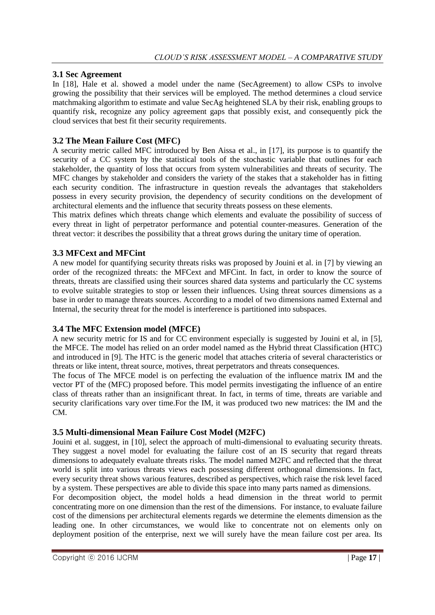#### **3.1 Sec Agreement**

In [18], Hale et al. showed a model under the name (SecAgreement) to allow CSPs to involve growing the possibility that their services will be employed. The method determines a cloud service matchmaking algorithm to estimate and value SecAg heightened SLA by their risk, enabling groups to quantify risk, recognize any policy agreement gaps that possibly exist, and consequently pick the cloud services that best fit their security requirements.

# **3.2 The Mean Failure Cost (MFC)**

A security metric called MFC introduced by Ben Aissa et al., in [17], its purpose is to quantify the security of a CC system by the statistical tools of the stochastic variable that outlines for each stakeholder, the quantity of loss that occurs from system vulnerabilities and threats of security. The MFC changes by stakeholder and considers the variety of the stakes that a stakeholder has in fitting each security condition. The infrastructure in question reveals the advantages that stakeholders possess in every security provision, the dependency of security conditions on the development of architectural elements and the influence that security threats possess on these elements.

This matrix defines which threats change which elements and evaluate the possibility of success of every threat in light of perpetrator performance and potential counter-measures. Generation of the threat vector: it describes the possibility that a threat grows during the unitary time of operation.

#### **3.3 MFCext and MFCint**

A new model for quantifying security threats risks was proposed by Jouini et al. in [7] by viewing an order of the recognized threats: the MFCext and MFCint. In fact, in order to know the source of threats, threats are classified using their sources shared data systems and particularly the CC systems to evolve suitable strategies to stop or lessen their influences. Using threat sources dimensions as a base in order to manage threats sources. According to a model of two dimensions named External and Internal, the security threat for the model is interference is partitioned into subspaces.

#### **3.4 The MFC Extension model (MFCE)**

A new security metric for IS and for CC environment especially is suggested by Jouini et al, in [5], the MFCE. The model has relied on an order model named as the Hybrid threat Classification (HTC) and introduced in [9]. The HTC is the generic model that attaches criteria of several characteristics or threats or like intent, threat source, motives, threat perpetrators and threats consequences.

The focus of The MFCE model is on perfecting the evaluation of the influence matrix IM and the vector PT of the (MFC) proposed before. This model permits investigating the influence of an entire class of threats rather than an insignificant threat. In fact, in terms of time, threats are variable and security clarifications vary over time.For the IM, it was produced two new matrices: the IM and the CM.

# **3.5 Multi-dimensional Mean Failure Cost Model (M2FC)**

Jouini et al. suggest, in [10], select the approach of multi-dimensional to evaluating security threats. They suggest a novel model for evaluating the failure cost of an IS security that regard threats dimensions to adequately evaluate threats risks. The model named M2FC and reflected that the threat world is split into various threats views each possessing different orthogonal dimensions. In fact, every security threat shows various features, described as perspectives, which raise the risk level faced by a system. These perspectives are able to divide this space into many parts named as dimensions.

For decomposition object, the model holds a head dimension in the threat world to permit concentrating more on one dimension than the rest of the dimensions. For instance, to evaluate failure cost of the dimensions per architectural elements regards we determine the elements dimension as the leading one. In other circumstances, we would like to concentrate not on elements only on deployment position of the enterprise, next we will surely have the mean failure cost per area. Its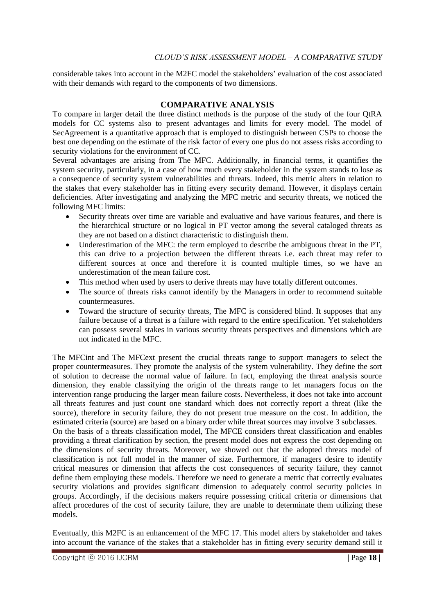considerable takes into account in the M2FC model the stakeholders' evaluation of the cost associated with their demands with regard to the components of two dimensions.

#### **COMPARATIVE ANALYSIS**

To compare in larger detail the three distinct methods is the purpose of the study of the four QtRA models for CC systems also to present advantages and limits for every model. The model of SecAgreement is a quantitative approach that is employed to distinguish between CSPs to choose the best one depending on the estimate of the risk factor of every one plus do not assess risks according to security violations for the environment of CC.

Several advantages are arising from The MFC. Additionally, in financial terms, it quantifies the system security, particularly, in a case of how much every stakeholder in the system stands to lose as a consequence of security system vulnerabilities and threats. Indeed, this metric alters in relation to the stakes that every stakeholder has in fitting every security demand. However, it displays certain deficiencies. After investigating and analyzing the MFC metric and security threats, we noticed the following MFC limits:

- Security threats over time are variable and evaluative and have various features, and there is the hierarchical structure or no logical in PT vector among the several cataloged threats as they are not based on a distinct characteristic to distinguish them.
- Underestimation of the MFC: the term employed to describe the ambiguous threat in the PT, this can drive to a projection between the different threats i.e. each threat may refer to different sources at once and therefore it is counted multiple times, so we have an underestimation of the mean failure cost.
- This method when used by users to derive threats may have totally different outcomes.
- The source of threats risks cannot identify by the Managers in order to recommend suitable countermeasures.
- Toward the structure of security threats, The MFC is considered blind. It supposes that any failure because of a threat is a failure with regard to the entire specification. Yet stakeholders can possess several stakes in various security threats perspectives and dimensions which are not indicated in the MFC.

The MFCint and The MFCext present the crucial threats range to support managers to select the proper countermeasures. They promote the analysis of the system vulnerability. They define the sort of solution to decrease the normal value of failure. In fact, employing the threat analysis source dimension, they enable classifying the origin of the threats range to let managers focus on the intervention range producing the larger mean failure costs. Nevertheless, it does not take into account all threats features and just count one standard which does not correctly report a threat (like the source), therefore in security failure, they do not present true measure on the cost. In addition, the estimated criteria (source) are based on a binary order while threat sources may involve 3 subclasses. On the basis of a threats classification model, The MFCE considers threat classification and enables providing a threat clarification by section, the present model does not express the cost depending on the dimensions of security threats. Moreover, we showed out that the adopted threats model of classification is not full model in the manner of size. Furthermore, if managers desire to identify critical measures or dimension that affects the cost consequences of security failure, they cannot define them employing these models. Therefore we need to generate a metric that correctly evaluates security violations and provides significant dimension to adequately control security policies in

affect procedures of the cost of security failure, they are unable to determinate them utilizing these models. Eventually, this M2FC is an enhancement of the MFC 17. This model alters by stakeholder and takes into account the variance of the stakes that a stakeholder has in fitting every security demand still it

groups. Accordingly, if the decisions makers require possessing critical criteria or dimensions that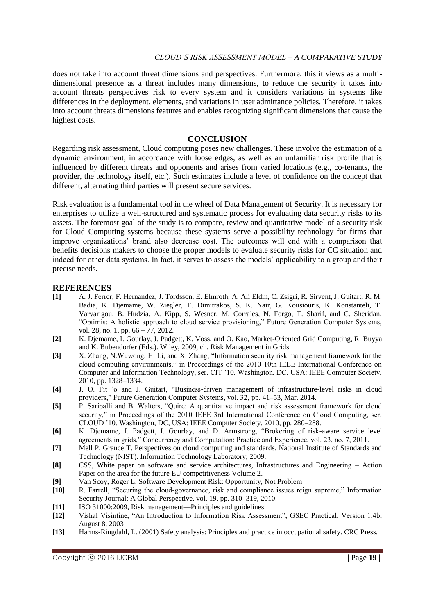does not take into account threat dimensions and perspectives. Furthermore, this it views as a multidimensional presence as a threat includes many dimensions, to reduce the security it takes into account threats perspectives risk to every system and it considers variations in systems like differences in the deployment, elements, and variations in user admittance policies. Therefore, it takes into account threats dimensions features and enables recognizing significant dimensions that cause the highest costs.

#### **CONCLUSION**

Regarding risk assessment, Cloud computing poses new challenges. These involve the estimation of a dynamic environment, in accordance with loose edges, as well as an unfamiliar risk profile that is influenced by different threats and opponents and arises from varied locations (e.g., co-tenants, the provider, the technology itself, etc.). Such estimates include a level of confidence on the concept that different, alternating third parties will present secure services.

Risk evaluation is a fundamental tool in the wheel of Data Management of Security. It is necessary for enterprises to utilize a well-structured and systematic process for evaluating data security risks to its assets. The foremost goal of the study is to compare, review and quantitative model of a security risk for Cloud Computing systems because these systems serve a possibility technology for firms that improve organizations' brand also decrease cost. The outcomes will end with a comparison that benefits decisions makers to choose the proper models to evaluate security risks for CC situation and indeed for other data systems. In fact, it serves to assess the models' applicability to a group and their precise needs.

#### **REFERENCES**

- **[1]** A. J. Ferrer, F. Hernandez, J. Tordsson, E. Elmroth, A. Ali Eldin, C. Zsigri, R. Sirvent, J. Guitart, R. M. Badia, K. Djemame, W. Ziegler, T. Dimitrakos, S. K. Nair, G. Kousiouris, K. Konstanteli, T. Varvarigou, B. Hudzia, A. Kipp, S. Wesner, M. Corrales, N. Forgo, T. Sharif, and C. Sheridan, ―Optimis: A holistic approach to cloud service provisioning,‖ Future Generation Computer Systems, vol. 28, no. 1, pp. 66 – 77, 2012.
- **[2]** K. Djemame, I. Gourlay, J. Padgett, K. Voss, and O. Kao, Market-Oriented Grid Computing, R. Buyya and K. Bubendorfer (Eds.). Wiley, 2009, ch. Risk Management in Grids.
- [3] X. Zhang, N. Wuwong, H. Li, and X. Zhang, "Information security risk management framework for the cloud computing environments," in Proceedings of the 2010 10th IEEE International Conference on Computer and Information Technology, ser. CIT '10. Washington, DC, USA: IEEE Computer Society, 2010, pp. 1328–1334.
- [4] J. O. Fit 'o and J. Guitart, "Business-driven management of infrastructure-level risks in cloud providers," Future Generation Computer Systems, vol. 32, pp. 41–53, Mar. 2014.
- [5] P. Saripalli and B. Walters, "Quirc: A quantitative impact and risk assessment framework for cloud security," in Proceedings of the 2010 IEEE 3rd International Conference on Cloud Computing, ser. CLOUD '10. Washington, DC, USA: IEEE Computer Society, 2010, pp. 280–288.
- [6] K. Djemame, J. Padgett, I. Gourlay, and D. Armstrong, "Brokering of risk-aware service level agreements in grids," Concurrency and Computation: Practice and Experience, vol. 23, no. 7, 2011.
- **[7]** Mell P, Grance T. Perspectives on cloud computing and standards. National Institute of Standards and Technology (NIST). Information Technology Laboratory; 2009.
- **[8]** CSS, White paper on software and service architectures, Infrastructures and Engineering Action Paper on the area for the future EU competitiveness Volume 2.
- **[9]** Van Scoy, Roger L. Software Development Risk: Opportunity, Not Problem
- **[10]** R. Farrell, "Securing the cloud-governance, risk and compliance issues reign supreme," Information Security Journal: A Global Perspective, vol. 19, pp. 310–319, 2010.
- **[11]** ISO 31000:2009, Risk management—Principles and guidelines
- [12] Vishal Visintine, "An Introduction to Information Risk Assessment", GSEC Practical, Version 1.4b, August 8, 2003
- **[13]** Harms-Ringdahl, L. (2001) Safety analysis: Principles and practice in occupational safety. CRC Press.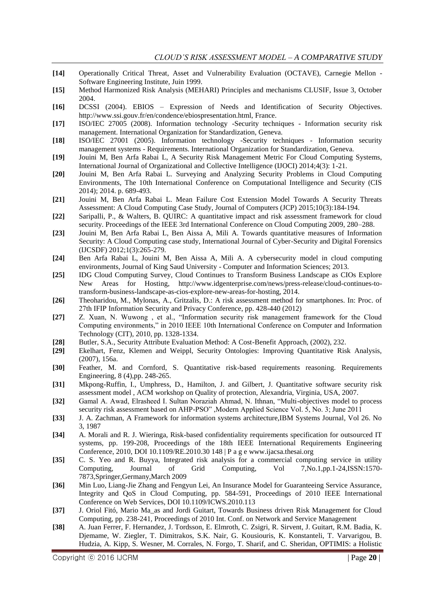- **[14]** Operationally Critical Threat, Asset and Vulnerability Evaluation (OCTAVE), Carnegie Mellon Software Engineering Institute, Juin 1999.
- **[15]** Method Harmonized Risk Analysis (MEHARI) Principles and mechanisms CLUSIF, Issue 3, October 2004.
- **[16]** DCSSI (2004). EBIOS Expression of Needs and Identification of Security Objectives. http://www.ssi.gouv.fr/en/condence/ebiospresentation.html, France.
- **[17]** ISO/IEC 27005 (2008). Information technology -Security techniques Information security risk management. International Organization for Standardization, Geneva.
- **[18]** ISO/IEC 27001 (2005). Information technology -Security techniques Information security management systems - Requirements. International Organization for Standardization, Geneva.
- **[19]** Jouini M, Ben Arfa Rabai L, A Security Risk Management Metric For Cloud Computing Systems, International Journal of Organizational and Collective Intelligence (IJOCI) 2014;4(3): 1-21.
- **[20]** Jouini M, Ben Arfa Rabai L. Surveying and Analyzing Security Problems in Cloud Computing Environments, The 10th International Conference on Computational Intelligence and Security (CIS 2014); 2014. p. 689-493.
- **[21]** Jouini M, Ben Arfa Rabai L. Mean Failure Cost Extension Model Towards A Security Threats Assessment: A Cloud Computing Case Study, Journal of Computers (JCP) 2015;10(3):184-194.
- **[22]** Saripalli, P., & Walters, B. QUIRC: A quantitative impact and risk assessment framework for cloud security. Proceedings of the IEEE 3rd International Conference on Cloud Computing 2009, 280–288.
- **[23]** Jouini M, Ben Arfa Rabai L, Ben Aissa A, Mili A. Towards quantitative measures of Information Security: A Cloud Computing case study, International Journal of Cyber-Security and Digital Forensics (IJCSDF) 2012;1(3):265-279.
- **[24]** Ben Arfa Rabai L, Jouini M, Ben Aissa A, Mili A. A cybersecurity model in cloud computing environments, Journal of King Saud University - Computer and Information Sciences; 2013.
- **[25]** IDG Cloud Computing Survey, Cloud Continues to Transform Business Landscape as CIOs Explore New Areas for Hosting, http://www.idgenterprise.com/news/press-release/cloud-continues-totransform-business-landscape-as-cios-explore-new-areas-for-hosting, 2014.
- **[26]** Theoharidou, M., Mylonas, A., Gritzalis, D.: A risk assessment method for smartphones. In: Proc. of 27th IFIP Infοrmation Security and Privacy Conference, pp. 428-440 (2012)
- [27] Z. Xuan, N. Wuwong, et al., "Information security risk management framework for the Cloud Computing environments," in 2010 IEEE 10th International Conference on Computer and Information Technology (CIT), 2010, pp. 1328-1334.
- **[28]** Butler, S.A., Security Attribute Evaluation Method: A Cost-Benefit Approach, (2002), 232.
- **[29]** Ekelhart, Fenz, Klemen and Weippl, Security Ontologies: Improving Quantitative Risk Analysis, (2007), 156a.
- **[30]** Feather, M. and Cornford, S. Quantitative risk-based requirements reasoning. Requirements Engineering, 8 (4),pp. 248-265.
- **[31]** Mkpong-Ruffin, I., Umphress, D., Hamilton, J. and Gilbert, J. Quantitative software security risk assessment model , ACM workshop on Quality of protection, Alexandria, Virginia, USA, 2007.
- [32] Gamal A. Awad, Elrasheed I. Sultan Noraziah Ahmad, N. Ithnan, "Multi-objectives model to process security risk assessment based on AHP-PSO", Modern Applied Science Vol. 5, No. 3; June 2011
- **[33]** J. A. Zachman, A Framework for information systems architecture,IBM Systems Journal, Vol 26. No 3, 1987
- **[34]** A. Morali and R. J. Wieringa, Risk-based confidentiality requirements specification for outsourced IT systems, pp. 199-208, Proceedings of the 18th IEEE International Requirements Engineering Conference, 2010, DOI 10.1109/RE.2010.30 148 | P a g e www.ijacsa.thesai.org
- **[35]** C. S. Yeo and R. Buyya, Integrated risk analysis for a commercial computing service in utility Computing, Journal of Grid Computing, Vol 7,No.1,pp.1-24,ISSN:1570- 7873,Springer,Germany,March 2009
- **[36]** Min Luo, Liang-Jie Zhang and Fengyun Lei, An Insurance Model for Guaranteeing Service Assurance, Integrity and QoS in Cloud Computing, pp. 584-591, Proceedings of 2010 IEEE International Conference on Web Services, DOI 10.1109/ICWS.2010.113
- **[37]** J. Oriol Fitó, Mario Ma\_as and Jordi Guitart, Towards Business driven Risk Management for Cloud Computing, pp. 238-241, Proceedings of 2010 Int. Conf. on Network and Service Management
- **[38]** A. Juan Ferrer, F. Hernandez, J. Tordsson, E. Elmroth, C. Zsigri, R. Sirvent, J. Guitart, R.M. Badia, K. Djemame, W. Ziegler, T. Dimitrakos, S.K. Nair, G. Kousiouris, K. Konstanteli, T. Varvarigou, B. Hudzia, A. Kipp, S. Wesner, M. Corrales, N. Forgo, T. Sharif, and C. Sheridan, OPTIMIS: a Holistic